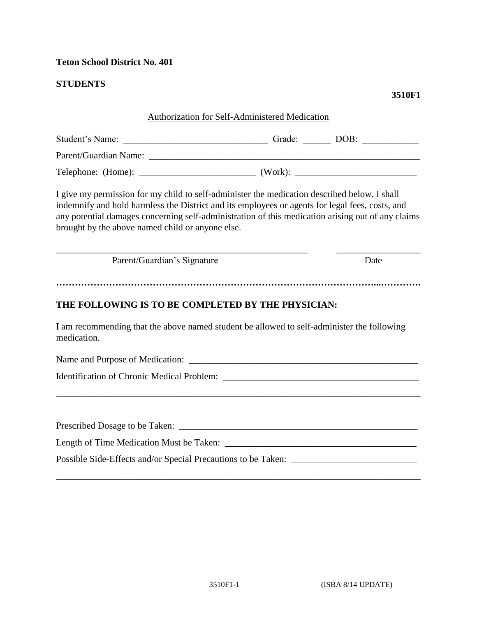#### **Teton School District No. 401**

### **STUDENTS**

#### **3510F1**

# Authorization for Self-Administered Medication Student's Name: \_\_\_\_\_\_\_\_\_\_\_\_\_\_\_\_\_\_\_\_\_\_\_\_\_\_\_\_\_\_\_ Grade: \_\_\_\_\_\_ DOB: \_\_\_\_\_\_\_\_\_\_\_\_ Parent/Guardian Name: \_\_\_\_\_\_\_\_\_\_\_\_\_\_\_\_\_\_\_\_\_\_\_\_\_\_\_\_\_\_\_\_\_\_\_\_\_\_\_\_\_\_\_\_\_\_\_\_\_\_\_\_\_\_\_\_\_\_ Telephone: (Home): \_\_\_\_\_\_\_\_\_\_\_\_\_\_\_\_\_\_\_\_\_\_\_\_\_ (Work): \_\_\_\_\_\_\_\_\_\_\_\_\_\_\_\_\_\_\_\_\_\_\_\_\_\_ I give my permission for my child to self-administer the medication described below. I shall indemnify and hold harmless the District and its employees or agents for legal fees, costs, and any potential damages concerning self-administration of this medication arising out of any claims brought by the above named child or anyone else. \_\_\_\_\_\_\_\_\_\_\_\_\_\_\_\_\_\_\_\_\_\_\_\_\_\_\_\_\_\_\_\_\_\_\_\_\_\_\_\_\_\_\_\_\_\_\_\_\_\_\_\_\_\_ \_\_\_\_\_\_\_\_\_\_\_\_\_\_\_\_\_\_ Parent/Guardian's Signature Date **…………………………………………………………………………………………...…………. THE FOLLOWING IS TO BE COMPLETED BY THE PHYSICIAN:**  I am recommending that the above named student be allowed to self-administer the following medication. Name and Purpose of Medication: \_\_\_\_\_\_\_\_\_\_\_\_\_\_\_\_\_\_\_\_\_\_\_\_\_\_\_\_\_\_\_\_\_\_\_\_\_\_\_\_\_\_\_\_\_\_\_\_\_ Identification of Chronic Medical Problem: \_\_\_\_\_\_\_\_\_\_\_\_\_\_\_\_\_\_\_\_\_\_\_\_\_\_\_\_\_\_\_\_\_\_\_\_\_\_\_\_\_\_ \_\_\_\_\_\_\_\_\_\_\_\_\_\_\_\_\_\_\_\_\_\_\_\_\_\_\_\_\_\_\_\_\_\_\_\_\_\_\_\_\_\_\_\_\_\_\_\_\_\_\_\_\_\_\_\_\_\_\_\_\_\_\_\_\_\_\_\_\_\_\_\_\_\_\_\_\_\_ Prescribed Dosage to be Taken: Length of Time Medication Must be Taken: \_\_\_\_\_\_\_\_\_\_\_\_\_\_\_\_\_\_\_\_\_\_\_\_\_\_\_\_\_\_\_\_\_\_\_\_\_\_\_\_\_ Possible Side-Effects and/or Special Precautions to be Taken: \_\_\_\_\_\_\_\_\_\_\_\_\_\_\_\_\_\_\_

\_\_\_\_\_\_\_\_\_\_\_\_\_\_\_\_\_\_\_\_\_\_\_\_\_\_\_\_\_\_\_\_\_\_\_\_\_\_\_\_\_\_\_\_\_\_\_\_\_\_\_\_\_\_\_\_\_\_\_\_\_\_\_\_\_\_\_\_\_\_\_\_\_\_\_\_\_\_